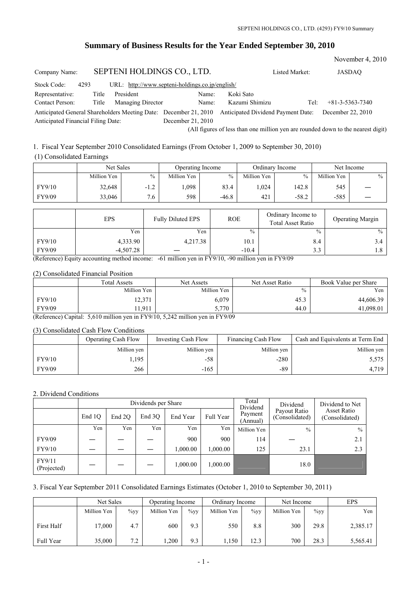# **Summary of Business Results for the Year Ended September 30, 2010**

|                                                                                                        |       |                            |                                                 |                                           |                | November 4, 2010  |
|--------------------------------------------------------------------------------------------------------|-------|----------------------------|-------------------------------------------------|-------------------------------------------|----------------|-------------------|
| Company Name:                                                                                          |       | SEPTENI HOLDINGS CO., LTD. |                                                 |                                           | Listed Market: | JASDAO            |
| Stock Code:<br>4293                                                                                    |       |                            | URL: http://www.septeni-holdings.co.jp/english/ |                                           |                |                   |
| Representative:                                                                                        | Title | President                  | Name:                                           | Koki Sato                                 |                |                   |
| <b>Contact Person:</b>                                                                                 | Title | Managing Director          | Name:                                           | Kazumi Shimizu                            | Tel:           | $+81-3-5363-7340$ |
| Anticipated General Shareholders Meeting Date: December 21, 2010<br>Anticipated Financial Filing Date: |       |                            | December 21, 2010                               | <b>Anticipated Dividend Payment Date:</b> |                | December 22, 2010 |

(All figures of less than one million yen are rounded down to the nearest digit)

### 1. Fiscal Year September 2010 Consolidated Earnings (From October 1, 2009 to September 30, 2010)

# (1) Consolidated Earnings

|        | Net Sales   |        | Operating Income |         | Ordinary Income |         | Net Income  |      |
|--------|-------------|--------|------------------|---------|-----------------|---------|-------------|------|
|        | Million Yen | $\%$   | Million Yen      | $\%$    | Million Yen     | $\%$    | Million Yen | $\%$ |
| FY9/10 | 32,648      | $-1.2$ | .098             | 83.4    | .024            | 142.8   | 545         |      |
| FY9/09 | 33,046      | 7.6    | 598              | $-46.8$ | 421             | $-58.2$ | $-585$      |      |

|        | EPS         | <b>Fully Diluted EPS</b> | <b>ROE</b>    | Ordinary Income to<br><b>Total Asset Ratio</b> | <b>Operating Margin</b> |
|--------|-------------|--------------------------|---------------|------------------------------------------------|-------------------------|
|        | Yen         | Yen                      | $\frac{0}{0}$ | $\frac{0}{0}$                                  | $\frac{0}{0}$           |
| FY9/10 | 4,333.90    | 4,217.38                 | 10.1          | 8.4                                            | 3.4                     |
| FY9/09 | $-4.507.28$ |                          | $-10.4$       | 3.3                                            | 1.8                     |

(Reference) Equity accounting method income: -61 million yen in FY9/10, -90 million yen in FY9/09

#### (2) Consolidated Financial Position

|        | <b>Total Assets</b> | Net Assets  | Net Asset Ratio | Book Value per Share |
|--------|---------------------|-------------|-----------------|----------------------|
|        | Million Yen         | Million Yen | $\frac{0}{0}$   | $V_{en}$             |
| FY9/10 | 12,371              | 6,079       | 45.3            | 44,606.39            |
| FY9/09 | 1,911               | 5,770       | 44.0            | 41,098.01            |

(Reference) Capital: 5,610 million yen in FY9/10, 5,242 million yen in FY9/09

#### (3) Consolidated Cash Flow Conditions

|        | <b>Operating Cash Flow</b> | Investing Cash Flow | <b>Financing Cash Flow</b> | Cash and Equivalents at Term End |
|--------|----------------------------|---------------------|----------------------------|----------------------------------|
|        | Million yen                | Million yen         | Million yen                | Million yen                      |
| FY9/10 | .195                       | -58                 | $-280$                     | 5,575                            |
| FY9/09 | 266                        | $-165$              | -89                        | 4,719                            |

# 2. Dividend Conditions

|                       |        |        | Dividends per Share |          |           | Total<br>Dividend   | Dividend to Net                |                               |
|-----------------------|--------|--------|---------------------|----------|-----------|---------------------|--------------------------------|-------------------------------|
|                       | End 10 | End 2O | End 3O              | End Year | Full Year | Payment<br>(Annual) | Payout Ratio<br>(Consolidated) | Asset Ratio<br>(Consolidated) |
|                       | Yen    | Yen    | Yen                 | Yen      | Yen       | Million Yen         | $\frac{0}{0}$                  | $\frac{0}{0}$                 |
| FY9/09                |        |        |                     | 900      | 900       | 114                 |                                | 2.1                           |
| FY9/10                |        |        |                     | 1.000.00 | .000.00   | 125                 | 23.1                           | 2.3                           |
| FY9/11<br>(Projected) |        |        |                     | 1,000.00 | 1,000.00  |                     | 18.0                           |                               |

### 3. Fiscal Year September 2011 Consolidated Earnings Estimates (October 1, 2010 to September 30, 2011)

|            | Net Sales   |         | Operating Income |         | Ordinary Income |         | Net Income  |         | EPS      |
|------------|-------------|---------|------------------|---------|-----------------|---------|-------------|---------|----------|
|            | Million Yen | $\%$ vy | Million Yen      | $\%$ vv | Million Yen     | $\%$ yy | Million Yen | $\%$ yy | Yen      |
| First Half | 7,000       | 4.7     | 600              | 9.3     | 550             | 8.8     | 300         | 29.8    | 2,385.17 |
| Full Year  | 35,000      | 7.2     | ,200             | 9.3     | .150            | 12.3    | 700         | 28.3    | 5,565.41 |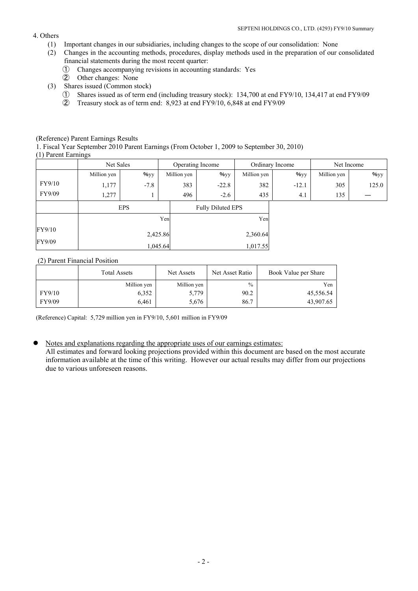### 4. Others

- (1) Important changes in our subsidiaries, including changes to the scope of our consolidation: None
- (2) Changes in the accounting methods, procedures, display methods used in the preparation of our consolidated financial statements during the most recent quarter:
	- ① Changes accompanying revisions in accounting standards: Yes
	- ② Other changes: None
- (3) Shares issued (Common stock)
	- ① Shares issued as of term end (including treasury stock): 134,700 at end FY9/10, 134,417 at end FY9/09
	- ② Treasury stock as of term end: 8,923 at end FY9/10, 6,848 at end FY9/09

### (Reference) Parent Earnings Results

1. Fiscal Year September 2010 Parent Earnings (From October 1, 2009 to September 30, 2010) (1) Parent Earnings

|        | Net Sales   |            | Operating Income |                          |             | Ordinary Income  | Net Income  |                  |
|--------|-------------|------------|------------------|--------------------------|-------------|------------------|-------------|------------------|
|        | Million yen | $96$ yy    | Million yen      | $\frac{9}{9}$ yy         | Million yen | $\frac{9}{9}$ yy | Million yen | $\frac{9}{9}$ yy |
| FY9/10 | 1,177       | $-7.8$     | 383              | $-22.8$                  | 382         | $-12.1$          | 305         | 125.0            |
| FY9/09 | 1,277       |            | 496              | $-2.6$                   | 435         | 4.1              | 135         |                  |
|        |             | <b>EPS</b> |                  | <b>Fully Diluted EPS</b> |             |                  |             |                  |
|        |             |            | Yen              |                          | Yen         |                  |             |                  |
| FY9/10 |             |            | 2,425.86         |                          | 2,360.64    |                  |             |                  |
| FY9/09 |             |            | 1,045.64         |                          | 1,017.55    |                  |             |                  |

# (2) Parent Financial Position

|        | <b>Total Assets</b> | Net Assets  | Net Asset Ratio | Book Value per Share |
|--------|---------------------|-------------|-----------------|----------------------|
|        | Million yen         | Million yen | $\%$            | Yen                  |
| FY9/10 | 6,352               | 5,779       | 90.2            | 45,556.54            |
| FY9/09 | 6.461               | 5,676       | 86.7            | 43,907.65            |

(Reference) Capital: 5,729 million yen in FY9/10, 5,601 million in FY9/09

 $\bullet$  Notes and explanations regarding the appropriate uses of our earnings estimates:

All estimates and forward looking projections provided within this document are based on the most accurate information available at the time of this writing. However our actual results may differ from our projections due to various unforeseen reasons.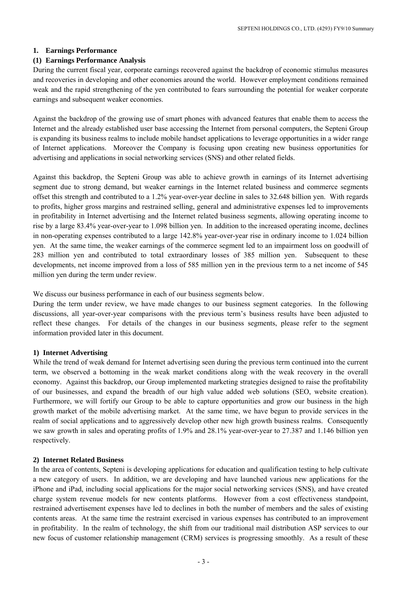#### **1. Earnings Performance**

### **(1) Earnings Performance Analysis**

During the current fiscal year, corporate earnings recovered against the backdrop of economic stimulus measures and recoveries in developing and other economies around the world. However employment conditions remained weak and the rapid strengthening of the yen contributed to fears surrounding the potential for weaker corporate earnings and subsequent weaker economies.

Against the backdrop of the growing use of smart phones with advanced features that enable them to access the Internet and the already established user base accessing the Internet from personal computers, the Septeni Group is expanding its business realms to include mobile handset applications to leverage opportunities in a wider range of Internet applications. Moreover the Company is focusing upon creating new business opportunities for advertising and applications in social networking services (SNS) and other related fields.

Against this backdrop, the Septeni Group was able to achieve growth in earnings of its Internet advertising segment due to strong demand, but weaker earnings in the Internet related business and commerce segments offset this strength and contributed to a 1.2% year-over-year decline in sales to 32.648 billion yen. With regards to profits, higher gross margins and restrained selling, general and administrative expenses led to improvements in profitability in Internet advertising and the Internet related business segments, allowing operating income to rise by a large 83.4% year-over-year to 1.098 billion yen. In addition to the increased operating income, declines in non-operating expenses contributed to a large 142.8% year-over-year rise in ordinary income to 1.024 billion yen. At the same time, the weaker earnings of the commerce segment led to an impairment loss on goodwill of 283 million yen and contributed to total extraordinary losses of 385 million yen. Subsequent to these developments, net income improved from a loss of 585 million yen in the previous term to a net income of 545 million yen during the term under review.

We discuss our business performance in each of our business segments below.

During the term under review, we have made changes to our business segment categories. In the following discussions, all year-over-year comparisons with the previous term's business results have been adjusted to reflect these changes. For details of the changes in our business segments, please refer to the segment information provided later in this document.

#### **1) Internet Advertising**

While the trend of weak demand for Internet advertising seen during the previous term continued into the current term, we observed a bottoming in the weak market conditions along with the weak recovery in the overall economy. Against this backdrop, our Group implemented marketing strategies designed to raise the profitability of our businesses, and expand the breadth of our high value added web solutions (SEO, website creation). Furthermore, we will fortify our Group to be able to capture opportunities and grow our business in the high growth market of the mobile advertising market. At the same time, we have begun to provide services in the realm of social applications and to aggressively develop other new high growth business realms. Consequently we saw growth in sales and operating profits of 1.9% and 28.1% year-over-year to 27.387 and 1.146 billion yen respectively.

#### **2) Internet Related Business**

In the area of contents, Septeni is developing applications for education and qualification testing to help cultivate a new category of users. In addition, we are developing and have launched various new applications for the iPhone and iPad, including social applications for the major social networking services (SNS), and have created charge system revenue models for new contents platforms. However from a cost effectiveness standpoint, restrained advertisement expenses have led to declines in both the number of members and the sales of existing contents areas. At the same time the restraint exercised in various expenses has contributed to an improvement in profitability. In the realm of technology, the shift from our traditional mail distribution ASP services to our new focus of customer relationship management (CRM) services is progressing smoothly. As a result of these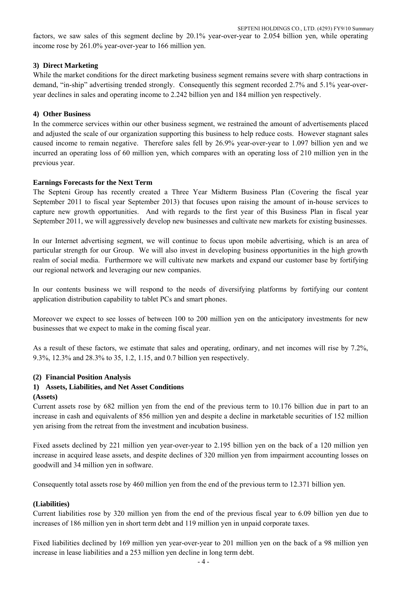factors, we saw sales of this segment decline by 20.1% year-over-year to 2.054 billion yen, while operating income rose by 261.0% year-over-year to 166 million yen.

### **3) Direct Marketing**

While the market conditions for the direct marketing business segment remains severe with sharp contractions in demand, "in-ship" advertising trended strongly. Consequently this segment recorded 2.7% and 5.1% year-overyear declines in sales and operating income to 2.242 billion yen and 184 million yen respectively.

### **4) Other Business**

In the commerce services within our other business segment, we restrained the amount of advertisements placed and adjusted the scale of our organization supporting this business to help reduce costs. However stagnant sales caused income to remain negative. Therefore sales fell by 26.9% year-over-year to 1.097 billion yen and we incurred an operating loss of 60 million yen, which compares with an operating loss of 210 million yen in the previous year.

### **Earnings Forecasts for the Next Term**

The Septeni Group has recently created a Three Year Midterm Business Plan (Covering the fiscal year September 2011 to fiscal year September 2013) that focuses upon raising the amount of in-house services to capture new growth opportunities. And with regards to the first year of this Business Plan in fiscal year September 2011, we will aggressively develop new businesses and cultivate new markets for existing businesses.

In our Internet advertising segment, we will continue to focus upon mobile advertising, which is an area of particular strength for our Group. We will also invest in developing business opportunities in the high growth realm of social media. Furthermore we will cultivate new markets and expand our customer base by fortifying our regional network and leveraging our new companies.

In our contents business we will respond to the needs of diversifying platforms by fortifying our content application distribution capability to tablet PCs and smart phones.

Moreover we expect to see losses of between 100 to 200 million yen on the anticipatory investments for new businesses that we expect to make in the coming fiscal year.

As a result of these factors, we estimate that sales and operating, ordinary, and net incomes will rise by 7.2%, 9.3%, 12.3% and 28.3% to 35, 1.2, 1.15, and 0.7 billion yen respectively.

#### **(2) Financial Position Analysis**

#### **1) Assets, Liabilities, and Net Asset Conditions**

#### **(Assets)**

Current assets rose by 682 million yen from the end of the previous term to 10.176 billion due in part to an increase in cash and equivalents of 856 million yen and despite a decline in marketable securities of 152 million yen arising from the retreat from the investment and incubation business.

Fixed assets declined by 221 million yen year-over-year to 2.195 billion yen on the back of a 120 million yen increase in acquired lease assets, and despite declines of 320 million yen from impairment accounting losses on goodwill and 34 million yen in software.

Consequently total assets rose by 460 million yen from the end of the previous term to 12.371 billion yen.

# **(Liabilities)**

Current liabilities rose by 320 million yen from the end of the previous fiscal year to 6.09 billion yen due to increases of 186 million yen in short term debt and 119 million yen in unpaid corporate taxes.

Fixed liabilities declined by 169 million yen year-over-year to 201 million yen on the back of a 98 million yen increase in lease liabilities and a 253 million yen decline in long term debt.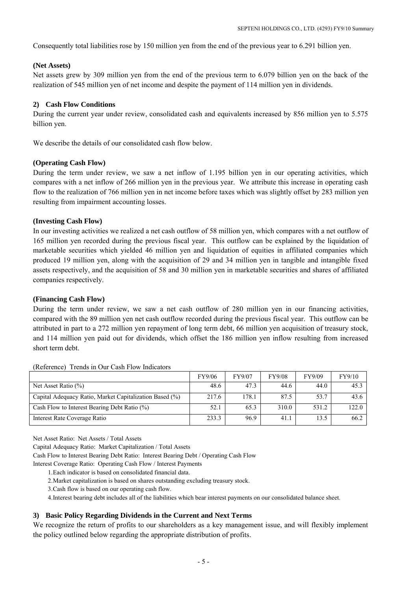Consequently total liabilities rose by 150 million yen from the end of the previous year to 6.291 billion yen.

### **(Net Assets)**

Net assets grew by 309 million yen from the end of the previous term to 6.079 billion yen on the back of the realization of 545 million yen of net income and despite the payment of 114 million yen in dividends.

# **2) Cash Flow Conditions**

During the current year under review, consolidated cash and equivalents increased by 856 million yen to 5.575 billion yen.

We describe the details of our consolidated cash flow below.

### **(Operating Cash Flow)**

During the term under review, we saw a net inflow of 1.195 billion yen in our operating activities, which compares with a net inflow of 266 million yen in the previous year. We attribute this increase in operating cash flow to the realization of 766 million yen in net income before taxes which was slightly offset by 283 million yen resulting from impairment accounting losses.

### **(Investing Cash Flow)**

In our investing activities we realized a net cash outflow of 58 million yen, which compares with a net outflow of 165 million yen recorded during the previous fiscal year. This outflow can be explained by the liquidation of marketable securities which yielded 46 million yen and liquidation of equities in affiliated companies which produced 19 million yen, along with the acquisition of 29 and 34 million yen in tangible and intangible fixed assets respectively, and the acquisition of 58 and 30 million yen in marketable securities and shares of affiliated companies respectively.

### **(Financing Cash Flow)**

During the term under review, we saw a net cash outflow of 280 million yen in our financing activities, compared with the 89 million yen net cash outflow recorded during the previous fiscal year. This outflow can be attributed in part to a 272 million yen repayment of long term debt, 66 million yen acquisition of treasury stock, and 114 million yen paid out for dividends, which offset the 186 million yen inflow resulting from increased short term debt.

|                                                         | FY9/06 | FY9/07 | <b>FY9/08</b> | FY9/09 | FY9/10 |
|---------------------------------------------------------|--------|--------|---------------|--------|--------|
| Net Asset Ratio $(\% )$                                 | 48.6   | 47.3   | 44.6          | 44.0   | 45.3   |
| Capital Adequacy Ratio, Market Capitalization Based (%) | 217.6  | 178.1  | 87.5          | 53.7   | 43.6   |
| Cash Flow to Interest Bearing Debt Ratio (%)            | 52.1   | 65.3   | 310.0         | 531.2  | 122.0  |
| Interest Rate Coverage Ratio                            | 233.3  | 96.9   | $-41.1$       | 13.5   | 66.2   |

(Reference) Trends in Our Cash Flow Indicators

Net Asset Ratio: Net Assets / Total Assets

Capital Adequacy Ratio: Market Capitalization / Total Assets

Cash Flow to Interest Bearing Debt Ratio: Interest Bearing Debt / Operating Cash Flow

Interest Coverage Ratio: Operating Cash Flow / Interest Payments

- 1.Each indicator is based on consolidated financial data.
- 2.Market capitalization is based on shares outstanding excluding treasury stock.
- 3.Cash flow is based on our operating cash flow.

4.Interest bearing debt includes all of the liabilities which bear interest payments on our consolidated balance sheet.

# **3) Basic Policy Regarding Dividends in the Current and Next Terms**

We recognize the return of profits to our shareholders as a key management issue, and will flexibly implement the policy outlined below regarding the appropriate distribution of profits.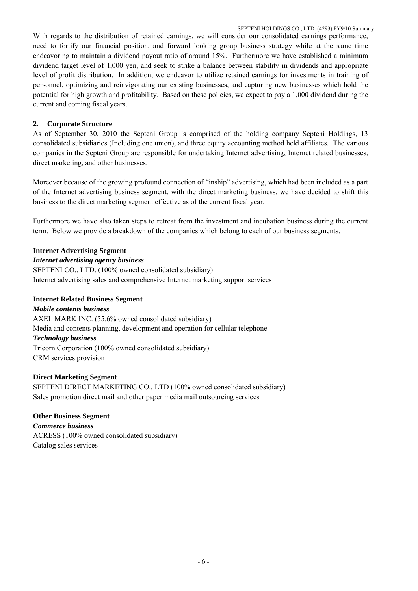With regards to the distribution of retained earnings, we will consider our consolidated earnings performance, need to fortify our financial position, and forward looking group business strategy while at the same time endeavoring to maintain a dividend payout ratio of around 15%. Furthermore we have established a minimum dividend target level of 1,000 yen, and seek to strike a balance between stability in dividends and appropriate level of profit distribution. In addition, we endeavor to utilize retained earnings for investments in training of personnel, optimizing and reinvigorating our existing businesses, and capturing new businesses which hold the potential for high growth and profitability. Based on these policies, we expect to pay a 1,000 dividend during the current and coming fiscal years.

# **2. Corporate Structure**

As of September 30, 2010 the Septeni Group is comprised of the holding company Septeni Holdings, 13 consolidated subsidiaries (Including one union), and three equity accounting method held affiliates. The various companies in the Septeni Group are responsible for undertaking Internet advertising, Internet related businesses, direct marketing, and other businesses.

Moreover because of the growing profound connection of "inship" advertising, which had been included as a part of the Internet advertising business segment, with the direct marketing business, we have decided to shift this business to the direct marketing segment effective as of the current fiscal year.

Furthermore we have also taken steps to retreat from the investment and incubation business during the current term. Below we provide a breakdown of the companies which belong to each of our business segments.

# **Internet Advertising Segment**

# *Internet advertising agency business*

SEPTENI CO., LTD. (100% owned consolidated subsidiary) Internet advertising sales and comprehensive Internet marketing support services

# **Internet Related Business Segment**

*Mobile contents business*  AXEL MARK INC. (55.6% owned consolidated subsidiary) Media and contents planning, development and operation for cellular telephone *Technology business*  Tricorn Corporation (100% owned consolidated subsidiary) CRM services provision

# **Direct Marketing Segment**

SEPTENI DIRECT MARKETING CO., LTD (100% owned consolidated subsidiary) Sales promotion direct mail and other paper media mail outsourcing services

# **Other Business Segment**

*Commerce business*  ACRESS (100% owned consolidated subsidiary) Catalog sales services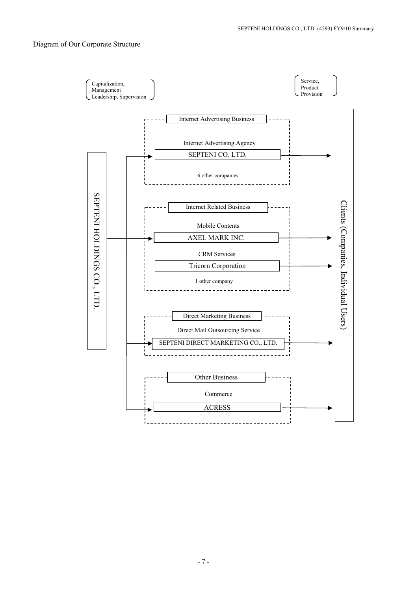# Diagram of Our Corporate Structure

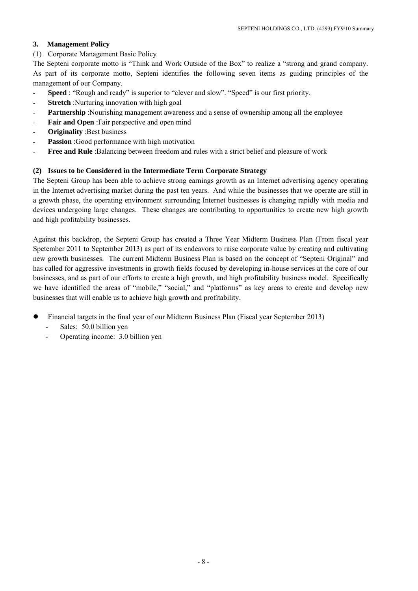# **3. Management Policy**

(1) Corporate Management Basic Policy

The Septeni corporate motto is "Think and Work Outside of the Box" to realize a "strong and grand company. As part of its corporate motto, Septeni identifies the following seven items as guiding principles of the management of our Company.

- Speed : "Rough and ready" is superior to "clever and slow". "Speed" is our first priority.
- **Stretch** :Nurturing innovation with high goal
- **Partnership** :Nourishing management awareness and a sense of ownership among all the employee
- Fair and Open :Fair perspective and open mind
- **Originality** :Best business
- Passion :Good performance with high motivation
- **Free and Rule** :Balancing between freedom and rules with a strict belief and pleasure of work

# **(2) Issues to be Considered in the Intermediate Term Corporate Strategy**

The Septeni Group has been able to achieve strong earnings growth as an Internet advertising agency operating in the Internet advertising market during the past ten years. And while the businesses that we operate are still in a growth phase, the operating environment surrounding Internet businesses is changing rapidly with media and devices undergoing large changes. These changes are contributing to opportunities to create new high growth and high profitability businesses.

Against this backdrop, the Septeni Group has created a Three Year Midterm Business Plan (From fiscal year Spetember 2011 to September 2013) as part of its endeavors to raise corporate value by creating and cultivating new growth businesses. The current Midterm Business Plan is based on the concept of "Septeni Original" and has called for aggressive investments in growth fields focused by developing in-house services at the core of our businesses, and as part of our efforts to create a high growth, and high profitability business model. Specifically we have identified the areas of "mobile," "social," and "platforms" as key areas to create and develop new businesses that will enable us to achieve high growth and profitability.

- Financial targets in the final year of our Midterm Business Plan (Fiscal year September 2013)
	- Sales: 50.0 billion yen
	- Operating income: 3.0 billion yen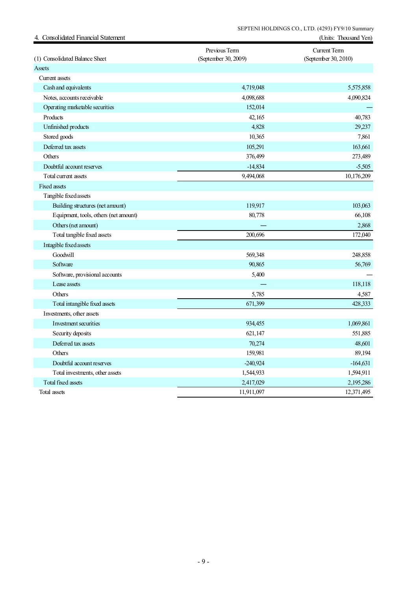| 4. Consolidated Financial Statement   |                                       | (Units: Thousand Yen)                       |
|---------------------------------------|---------------------------------------|---------------------------------------------|
| (1) Consolidated Balance Sheet        | Previous Term<br>(September 30, 2009) | <b>Current Term</b><br>(September 30, 2010) |
| Assets                                |                                       |                                             |
| Current assets                        |                                       |                                             |
| Cash and equivalents                  | 4,719,048                             | 5,575,858                                   |
| Notes, accounts receivable            | 4,098,688                             | 4,090,824                                   |
| Operating marketable securities       | 152,014                               |                                             |
| Products                              | 42,165                                | 40,783                                      |
| Unfinished products                   | 4,828                                 | 29,237                                      |
| Stored goods                          | 10,365                                | 7,861                                       |
| Deferred tax assets                   | 105,291                               | 163,661                                     |
| Others                                | 376,499                               | 273,489                                     |
| Doubtful account reserves             | $-14,834$                             | $-5,505$                                    |
| Total current assets                  | 9,494,068                             | 10,176,209                                  |
| <b>Fixed assets</b>                   |                                       |                                             |
| Tangible fixed assets                 |                                       |                                             |
| Building structures (net amount)      | 119,917                               | 103,063                                     |
| Equipment, tools, others (net amount) | 80,778                                | 66,108                                      |
| Others (net amount)                   |                                       | 2,868                                       |
| Total tangible fixed assets           | 200,696                               | 172,040                                     |
| Intagible fixed assets                |                                       |                                             |
| Goodwill                              | 569,348                               | 248,858                                     |
| Software                              | 90,865                                | 56,769                                      |
| Software, provisional accounts        | 5,400                                 |                                             |
| Lease assets                          |                                       | 118,118                                     |
| Others                                | 5,785                                 | 4,587                                       |
| Total intangible fixed assets         | 671,399                               | 428,333                                     |
| Investments, other assets             |                                       |                                             |
| Investment securities                 | 934,455                               | 1,069,861                                   |
| Security deposits                     | 621,147                               | 551,885                                     |
| Deferred tax assets                   | 70,274                                | 48,601                                      |
| Others                                | 159,981                               | 89,194                                      |
| Doubtful account reserves             | $-240,924$                            | $-164,631$                                  |
| Total investments, other assets       | 1,544,933                             | 1,594,911                                   |
| <b>Total fixed assets</b>             | 2,417,029                             | 2,195,286                                   |
| Total assets                          | 11,911,097                            | 12,371,495                                  |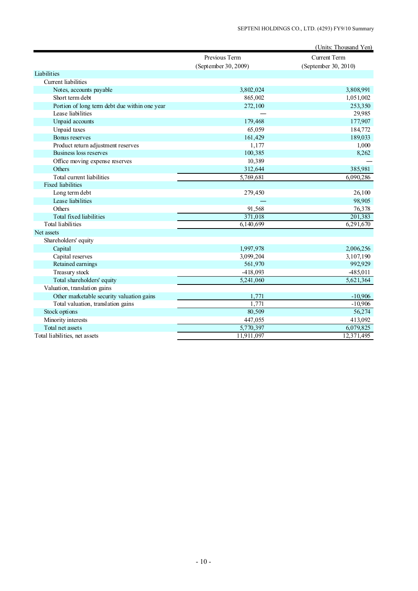|                                               |                        | (Units: Thousand Yen) |
|-----------------------------------------------|------------------------|-----------------------|
|                                               | Previous Term          | <b>Current Term</b>   |
|                                               | (September 30, 2009)   | (September 30, 2010)  |
| Liabilities                                   |                        |                       |
| <b>Current</b> liabilities                    |                        |                       |
| Notes, accounts payable                       | 3,802,024              | 3,808,991             |
| Short term debt                               | 865,002                | 1,051,002             |
| Portion of long term debt due within one year | 272,100                | 253,350               |
| Lease liabilities                             |                        | 29,985                |
| Unpaid accounts                               | 179,468                | 177,907               |
| Unpaid taxes                                  | 65,059                 | 184,772               |
| Bonus reserves                                | 161,429                | 189,033               |
| Product return adjustment reserves            | 1,177                  | 1,000                 |
| Business loss reserves                        | 100,385                | 8,262                 |
| Office moving expense reserves                | 10,389                 |                       |
| Others                                        | 312,644                | 385,981               |
| Total current liabilities                     | 5,769,681              | 6,090,286             |
| <b>Fixed liabilities</b>                      |                        |                       |
| Long term debt                                | 279,450                | 26,100                |
| Lease liabilities                             |                        | 98,905                |
| Others                                        | 91,568                 | 76,378                |
| Total fixed liabilities                       | 371,018                | 201,383               |
| Total liabilities                             | 6,140,699              | 6,291,670             |
| Net assets                                    |                        |                       |
| Shareholders' equity                          |                        |                       |
| Capital                                       | 1,997,978              | 2,006,256             |
| Capital reserves                              | 3,099,204              | 3,107,190             |
| Retained earnings                             | 561,970                | 992,929               |
| Treasury stock                                | $-418,093$             | 485,011               |
| Total shareholders' equity                    | $\overline{5,241,060}$ | 5,621,364             |
| Valuation, translation gains                  |                        |                       |
| Other marketable security valuation gains     | 1,771                  | $-10,906$             |
| Total valuation, translation gains            | 1,771                  | $-10,906$             |
| Stock options                                 | 80,509                 | 56,274                |
| Minority interests                            | 447,055                | 413,092               |
| Total net assets                              | 5,770,397              | 6,079,825             |
| Total liabilities, net assets                 | 11,911,097             | 12,371,495            |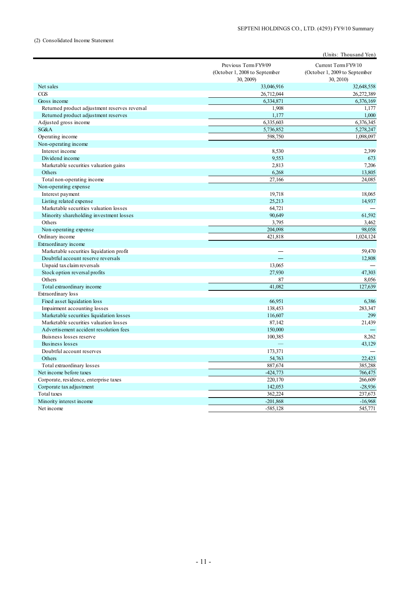#### (2) Consolidated Income Statement

|                                               |                                                                    | (Units: Thousand Yen)                                             |
|-----------------------------------------------|--------------------------------------------------------------------|-------------------------------------------------------------------|
|                                               | Previous Term FY9/09<br>(October 1, 2008 to September<br>30, 2009) | Current Term FY9/10<br>(October 1, 2009 to September<br>30, 2010) |
| Net sales                                     | 33,046,916                                                         | 32,648,558                                                        |
| CGS                                           | 26,712,044                                                         | 26,272,389                                                        |
| Gross income                                  | 6,334,871                                                          | 6,376,169                                                         |
| Returned product adjustment reserves reversal | 1,908                                                              | 1,177                                                             |
| Returned product adjustment reserves          | 1,177                                                              | 1,000                                                             |
| Adjusted gross income                         | 6,335,603                                                          | 6,376,345                                                         |
| SG&A                                          | 5,736,852                                                          | 5,278,247                                                         |
| Operating income                              | 598,750                                                            | 1,098,097                                                         |
| Non-operating income                          |                                                                    |                                                                   |
| Interest income                               | 8,530                                                              | 2,399                                                             |
| Dividend income                               | 9,553                                                              | 673                                                               |
| Marketable securities valuation gains         | 2,813                                                              | 7,206                                                             |
| Others                                        | 6,268                                                              | 13,805                                                            |
| Total non-operating income                    | 27,166                                                             | 24,085                                                            |
| Non-operating expense                         |                                                                    |                                                                   |
| Interest payment                              | 19,718                                                             | 18,065                                                            |
| Listing related expense                       | 25,213                                                             | 14,937                                                            |
| Marketable securities valuation losses        | 64,721                                                             |                                                                   |
| Minority shareholding investment losses       | 90,649                                                             | 61,592                                                            |
| Others                                        | 3,795                                                              | 3,462                                                             |
| Non-operating expense                         | 204.098                                                            | 98.058                                                            |
| Ordinary income                               | 421,818                                                            | 1,024,124                                                         |
| Extraordinary income                          |                                                                    |                                                                   |
| Marketable securities liquidation profit      |                                                                    | 59,470                                                            |
| Doubtful account reserve reversals            |                                                                    | 12,808                                                            |
| Unpaid tax claim reversals                    | 13,065                                                             |                                                                   |
| Stock option reversal profits                 | 27,930                                                             | 47,303                                                            |
| Others                                        | 87                                                                 | 8,056                                                             |
| Total extraordinary income                    | 41,082                                                             | 127,639                                                           |
| Extraordinary loss                            |                                                                    |                                                                   |
| Fixed asset liquidation loss                  | 66,951                                                             | 6,386                                                             |
| Impairment accounting losses                  | 138,453                                                            | 283,347                                                           |
| Marketable securities liquidation losses      | 116,607                                                            | 299                                                               |
| Marketable securities valuation losses        | 87,142                                                             | 21,439                                                            |
| Advertisement accident resolution fees        | 150,000                                                            |                                                                   |
| Buisness losses reserve                       | 100,385                                                            | 8,262                                                             |
| Business losses                               |                                                                    | 43,129                                                            |
| Doubtful account reserves                     | 173,371                                                            |                                                                   |
| Others                                        | 54,763                                                             | 22,423                                                            |
| Total extraordinary losses                    | 887,674                                                            | 385,288                                                           |
| Net income before taxes                       | $-424,773$                                                         | 766,475                                                           |
| Corporate, residence, enterprise taxes        | 220,170                                                            | 266,609                                                           |
| Corporate tax adjustment                      | 142,053                                                            | $-28,936$                                                         |
| Total taxes                                   | 362,224                                                            | 237,673                                                           |
| Minority interest income                      | $-201,868$                                                         | $-16,968$                                                         |
| Net income                                    | $-585,128$                                                         | 545,771                                                           |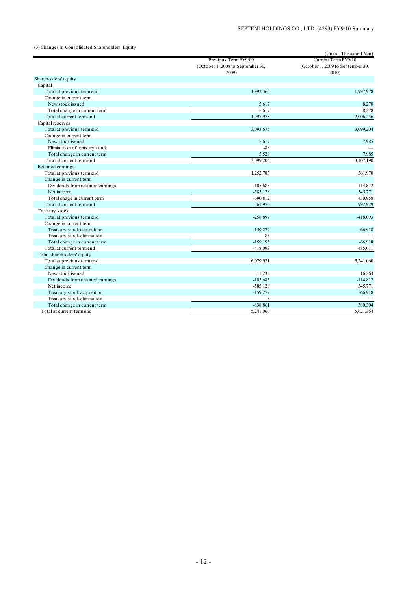(3) Changes in Consolidated Shareholders' Equity

|                                  |                                   | (Units: Thousand Yen)             |
|----------------------------------|-----------------------------------|-----------------------------------|
|                                  | Previous Term FY9/09              | Current Term FY9/10               |
|                                  | (October 1, 2008 to September 30, | (October 1, 2009 to September 30, |
|                                  | 2009)                             | 2010)                             |
| Shareholders' equity             |                                   |                                   |
| Capital                          |                                   |                                   |
| Total at previous term end       | 1,992,360                         | 1,997,978                         |
| Change in current term           |                                   |                                   |
| New stock issued                 | 5,617                             | 8,278                             |
| Total change in current term     | 5,617                             | 8,278                             |
| Total at current term end        | 1,997,978                         | 2,006,256                         |
| Capital reserves                 |                                   |                                   |
| Total at previous term end       | 3,093,675                         | 3,099,204                         |
| Change in current term           |                                   |                                   |
| New stock issued                 | 5,617                             | 7,985                             |
| Elimination of treasury stock    | $-88$                             |                                   |
| Total change in current term     | 5,529                             | 7,985                             |
| Total at current term end        | 3,099,204                         | 3,107,190                         |
| Retained earnings                |                                   |                                   |
| Total at previous term end       | 1,252,783                         | 561,970                           |
| Change in current term           |                                   |                                   |
| Dividends from retained earnings | $-105,683$                        | $-114,812$                        |
| Net income                       | $-585,128$                        | 545,771                           |
| Total chage in current term      | $-690,812$                        | 430,958                           |
| Total at current term end        | 561,970                           | 992,929                           |
| Treasury stock                   |                                   |                                   |
| Total at previous term end       | $-258,897$                        | -418,093                          |
| Change in current term           |                                   |                                   |
| Treasury stock acquisition       | $-159,279$                        | $-66,918$                         |
| Treasury stock elimination       | 83                                |                                   |
| Total change in current term     | $-159,195$                        | $-66,918$                         |
| Total at current term end        | $-418,093$                        | -485,011                          |
| Total shareholders' equity       |                                   |                                   |
| Total at previous term end       | 6,079,921                         | 5,241,060                         |
| Change in current term           |                                   |                                   |
| New stock issued                 | 11,235                            | 16,264                            |
| Dividends from retained earnings | $-105,683$                        | $-114,812$                        |
| Net income                       | $-585,128$                        | 545,771                           |
| Treasury stock acquisition       | $-159,279$                        | $-66,918$                         |
| Treasury stock elimination       | $-5$                              |                                   |
| Total change in current term     | $-838.861$                        | 380.304                           |
| Total at current term end        | 5,241,060                         | 5.621.364                         |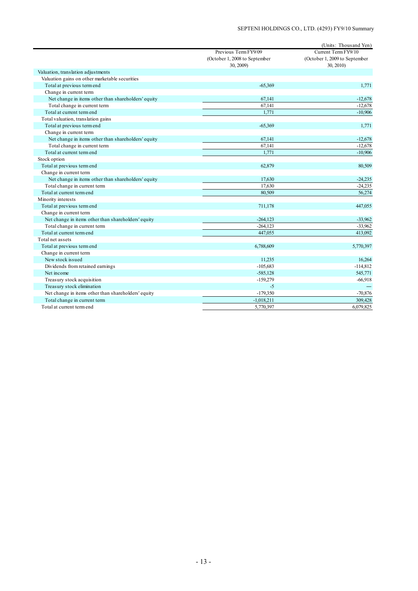|                                                     | Previous Term FY9/09                       | (Units: Thousand Yen)<br>Current Term FY9/10 |
|-----------------------------------------------------|--------------------------------------------|----------------------------------------------|
|                                                     | (October 1, 2008 to September<br>30, 2009) | (October 1, 2009 to September<br>30, 2010)   |
| Valuation, translation adjustments                  |                                            |                                              |
| Valuation gains on other marketable securities      |                                            |                                              |
| Total at previous term end                          | $-65,369$                                  | 1,771                                        |
| Change in current term                              |                                            |                                              |
| Net change in items other than shareholders' equity | 67,141                                     | $-12,678$                                    |
| Total change in current term                        | 67,141                                     | $-12,678$                                    |
| Total at current term end                           | 1,771                                      | $-10,906$                                    |
| Total valuation, translation gains                  |                                            |                                              |
| Total at previous term end                          | $-65,369$                                  | 1,771                                        |
| Change in current term                              |                                            |                                              |
| Net change in items other than shareholders' equity | 67,141                                     | $-12,678$                                    |
| Total change in current term                        | 67,141                                     | $-12,678$                                    |
| Total at current term end                           | 1,771                                      | $-10,906$                                    |
| Stock option                                        |                                            |                                              |
| Total at previous term end                          | 62,879                                     | 80,509                                       |
| Change in current term                              |                                            |                                              |
| Net change in items other than shareholders' equity | 17,630                                     | $-24,235$                                    |
| Total change in current term                        | 17,630                                     | $-24,235$                                    |
| Total at current term end                           | 80,509                                     | 56,274                                       |
| Minority interests                                  |                                            |                                              |
| Total at previous term end                          | 711,178                                    | 447,055                                      |
| Change in current term                              |                                            |                                              |
| Net change in items other than shareholders' equity | $-264, 123$                                | $-33,962$                                    |
| Total change in current term                        | $-264, 123$                                | $-33,962$                                    |
| Total at current term end                           | 447,055                                    | 413,092                                      |
| Total net assets                                    |                                            |                                              |
| Total at previous term end                          | 6,788,609                                  | 5,770,397                                    |
| Change in current term                              |                                            |                                              |
| New stock issued                                    | 11,235                                     | 16,264                                       |
| Dividends from retained earnings                    | $-105,683$                                 | $-114,812$                                   |
| Net income                                          | $-585,128$                                 | 545,771                                      |
| Treasury stock acquisition                          | $-159,279$                                 | $-66,918$                                    |
| Treasury stock elimination                          | $-5$                                       |                                              |
| Net change in items other than shareholders' equity | $-179,350$                                 | $-70,876$                                    |
| Total change in current term                        | $-1,018,211$                               | 309,428                                      |
| Total at current term end                           | 5,770,397                                  | 6,079,825                                    |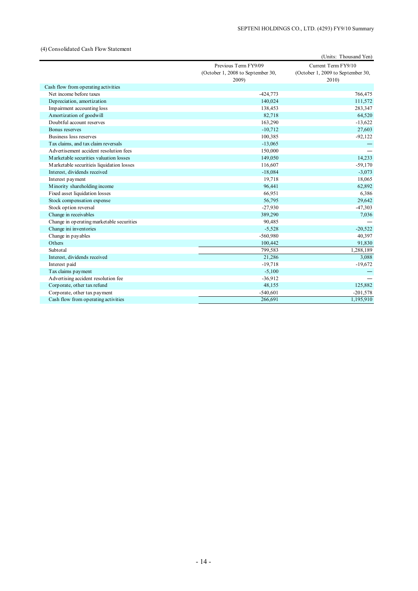#### (4) Consolidated Cash Flow Statement

|                                           |                                   | (Units: Thousand Yen)             |
|-------------------------------------------|-----------------------------------|-----------------------------------|
|                                           | Previous Term FY9/09              | Current Term FY9/10               |
|                                           | (October 1, 2008 to September 30, | (October 1, 2009 to September 30, |
|                                           | 2009)                             | 2010                              |
| Cash flow from operating activities       |                                   |                                   |
| Net income before taxes                   | $-424,773$                        | 766,475                           |
| Depreciation, amortization                | 140,024                           | 111,572                           |
| Impairment accounting loss                | 138,453                           | 283,347                           |
| Amortization of goodwill                  | 82,718                            | 64,520                            |
| Doubtful account reserves                 | 163,290                           | $-13,622$                         |
| Bonus reserves                            | $-10,712$                         | 27,603                            |
| Business loss reserves                    | 100,385                           | $-92,122$                         |
| Tax claims, and tax claim reversals       | $-13,065$                         |                                   |
| Advertisement accident resolution fees    | 150,000                           |                                   |
| Marketable securities valuation losses    | 149,050                           | 14,233                            |
| Marketable securitieis liquidation losses | 116,607                           | $-59,170$                         |
| Interest, dividends received              | $-18,084$                         | $-3,073$                          |
| Interest payment                          | 19,718                            | 18,065                            |
| Minority shareholding income              | 96,441                            | 62,892                            |
| Fixed asset liquidation losses            | 66,951                            | 6,386                             |
| Stock compensation expense                | 56,795                            | 29,642                            |
| Stock option reversal                     | $-27,930$                         | $-47,303$                         |
| Change in receivables                     | 389,290                           | 7,036                             |
| Change in operating marketable securities | 90,485                            |                                   |
| Change ini inventories                    | $-5,528$                          | $-20,522$                         |
| Change in payables                        | $-560,980$                        | 40,397                            |
| Others                                    | 100,442                           | 91,830                            |
| Subtotal                                  | 799,583                           | 1,288,189                         |
| Interest, dividends received              | 21,286                            | 3,088                             |
| Interest paid                             | $-19,718$                         | $-19,672$                         |
| Tax claims payment                        | $-5,100$                          |                                   |
| Advertising accident resolution fee       | $-36,912$                         |                                   |
| Corporate, other tax refund               | 48,155                            | 125,882                           |
| Corporate, other tax payment              | $-540,601$                        | $-201,578$                        |
| Cash flow from operating activities       | 266.691                           | 1,195,910                         |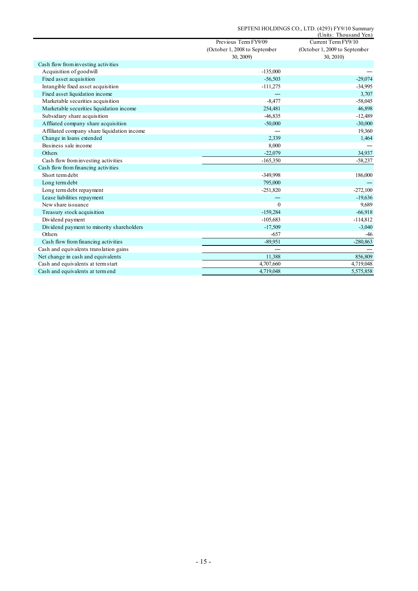|                                             |                               | (Units: Thousand Yen)         |
|---------------------------------------------|-------------------------------|-------------------------------|
|                                             | Previous Term FY9/09          | Current Term FY9/10           |
|                                             | (October 1, 2008 to September | (October 1, 2009 to September |
|                                             | 30, 2009)                     | 30, 2010)                     |
| Cash flow from investing activities         |                               |                               |
| Acquisition of goodwill                     | $-135,000$                    |                               |
| Fixed asset acquisition                     | $-56,503$                     | $-29,074$                     |
| Intangible fixed asset acquisition          | $-111,275$                    | $-34,995$                     |
| Fixed asset liquidation income              |                               | 3,707                         |
| Marketable securities acquisition           | $-8,477$                      | $-58,045$                     |
| Marketable securities liquidation income    | 254,481                       | 46,898                        |
| Subsidiary share acquisition                | $-46,835$                     | $-12,489$                     |
| Affliated company share acquisition         | $-50,000$                     | $-30,000$                     |
| Affiliated company share liquidation income |                               | 19,360                        |
| Change in loans extended                    | 2,339                         | 1,464                         |
| Business sale income                        | 8,000                         |                               |
| Others                                      | $-22,079$                     | 34,937                        |
| Cash flow from investing activities         | $-165,350$                    | $-58,237$                     |
| Cash flow from financing activities         |                               |                               |
| Short term debt                             | -349,998                      | 186,000                       |
| Long term debt                              | 795,000                       |                               |
| Long term debt repayment                    | $-251,820$                    | $-272,100$                    |
| Lease liabilities repayment                 |                               | $-19,636$                     |
| New share issuance                          | $\Omega$                      | 9,689                         |
| Treasury stock acquisition                  | $-159,284$                    | $-66,918$                     |
| Dividend payment                            | $-105,683$                    | $-114,812$                    |
| Dividend payment to minority shareholders   | $-17,509$                     | $-3,040$                      |
| Others                                      | $-657$                        | $-46$                         |
| Cash flow from financing activities         | $-89.951$                     | $-280,863$                    |
| Cash and equivalents translation gains      |                               |                               |
| Net change in cash and equivalents          | 11,388                        | 856,809                       |
| Cash and equivalents at term start          | 4,707,660                     | 4,719,048                     |
| Cash and equivalents at term end            | 4,719,048                     | 5,575,858                     |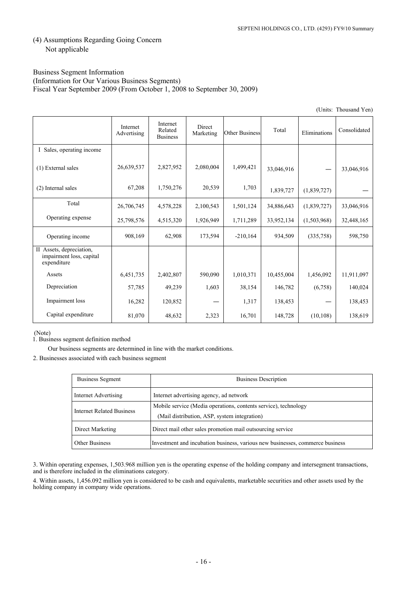# (4) Assumptions Regarding Going Concern Not applicable

#### Business Segment Information (Information for Our Various Business Segments) Fiscal Year September 2009 (From October 1, 2008 to September 30, 2009)

|                                                                     |                         |                                        |                     |                       |            |              | (Units: Thousand Yen) |
|---------------------------------------------------------------------|-------------------------|----------------------------------------|---------------------|-----------------------|------------|--------------|-----------------------|
|                                                                     | Internet<br>Advertising | Internet<br>Related<br><b>Business</b> | Direct<br>Marketing | <b>Other Business</b> | Total      | Eliminations | Consolidated          |
| I Sales, operating income                                           |                         |                                        |                     |                       |            |              |                       |
| (1) External sales                                                  | 26,639,537              | 2,827,952                              | 2,080,004           | 1,499,421             | 33,046,916 |              | 33,046,916            |
| (2) Internal sales                                                  | 67,208                  | 1,750,276                              | 20,539              | 1,703                 | 1,839,727  | (1,839,727)  |                       |
| Total                                                               | 26,706,745              | 4,578,228                              | 2,100,543           | 1,501,124             | 34,886,643 | (1,839,727)  | 33,046,916            |
| Operating expense                                                   | 25,798,576              | 4,515,320                              | 1,926,949           | 1,711,289             | 33,952,134 | (1,503,968)  | 32,448,165            |
| Operating income                                                    | 908,169                 | 62,908                                 | 173,594             | $-210,164$            | 934,509    | (335,758)    | 598,750               |
| II Assets, depreciation,<br>impairment loss, capital<br>expenditure |                         |                                        |                     |                       |            |              |                       |
| Assets                                                              | 6,451,735               | 2,402,807                              | 590,090             | 1,010,371             | 10,455,004 | 1,456,092    | 11,911,097            |
| Depreciation                                                        | 57,785                  | 49,239                                 | 1,603               | 38,154                | 146,782    | (6,758)      | 140,024               |
| Impairment loss                                                     | 16,282                  | 120,852                                |                     | 1,317                 | 138,453    |              | 138,453               |
| Capital expenditure                                                 | 81,070                  | 48,632                                 | 2,323               | 16,701                | 148,728    | (10, 108)    | 138,619               |

(Note)

1. Business segment definition method

Our business segments are determined in line with the market conditions.

2. Businesses associated with each business segment

| <b>Business Segment</b>          | <b>Business Description</b>                                                                                     |
|----------------------------------|-----------------------------------------------------------------------------------------------------------------|
| Internet Advertising             | Internet advertising agency, ad network                                                                         |
| <b>Internet Related Business</b> | Mobile service (Media operations, contents service), technology<br>(Mail distribution, ASP, system integration) |
| Direct Marketing                 | Direct mail other sales promotion mail outsourcing service                                                      |
| <b>Other Business</b>            | Investment and incubation business, various new businesses, commerce business                                   |

3. Within operating expenses, 1,503.968 million yen is the operating expense of the holding company and intersegment transactions, and is therefore included in the eliminations category.

4. Within assets, 1,456.092 million yen is considered to be cash and equivalents, marketable securities and other assets used by the holding company in company wide operations.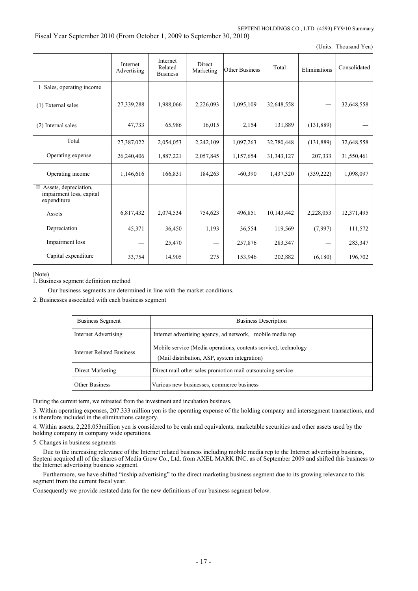Fiscal Year September 2010 (From October 1, 2009 to September 30, 2010)

(Units: Thousand Yen)

|                                                                     | Internet<br>Advertising | Internet<br>Related<br><b>Business</b> | Direct<br>Marketing | <b>Other Business</b> | Total        | Eliminations | Consolidated |
|---------------------------------------------------------------------|-------------------------|----------------------------------------|---------------------|-----------------------|--------------|--------------|--------------|
| I Sales, operating income                                           |                         |                                        |                     |                       |              |              |              |
| (1) External sales                                                  | 27,339,288              | 1,988,066                              | 2,226,093           | 1,095,109             | 32,648,558   |              | 32,648,558   |
| (2) Internal sales                                                  | 47,733                  | 65,986                                 | 16,015              | 2,154                 | 131,889      | (131,889)    |              |
| Total                                                               | 27,387,022              | 2,054,053                              | 2,242,109           | 1,097,263             | 32,780,448   | (131, 889)   | 32,648,558   |
| Operating expense                                                   | 26,240,406              | 1,887,221                              | 2,057,845           | 1,157,654             | 31, 343, 127 | 207,333      | 31,550,461   |
| Operating income                                                    | 1,146,616               | 166,831                                | 184,263             | $-60,390$             | 1,437,320    | (339, 222)   | 1,098,097    |
| II Assets, depreciation,<br>impairment loss, capital<br>expenditure |                         |                                        |                     |                       |              |              |              |
| Assets                                                              | 6,817,432               | 2,074,534                              | 754,623             | 496,851               | 10,143,442   | 2,228,053    | 12,371,495   |
| Depreciation                                                        | 45,371                  | 36,450                                 | 1,193               | 36,554                | 119,569      | (7,997)      | 111,572      |
| Impairment loss                                                     |                         | 25,470                                 |                     | 257,876               | 283,347      |              | 283,347      |
| Capital expenditure                                                 | 33,754                  | 14,905                                 | 275                 | 153,946               | 202,882      | (6,180)      | 196,702      |

(Note)

1. Business segment definition method

Our business segments are determined in line with the market conditions.

2. Businesses associated with each business segment

| <b>Business Segment</b>          | <b>Business Description</b>                                                                                     |
|----------------------------------|-----------------------------------------------------------------------------------------------------------------|
| Internet Advertising             | Internet advertising agency, ad network, mobile media rep                                                       |
| <b>Internet Related Business</b> | Mobile service (Media operations, contents service), technology<br>(Mail distribution, ASP, system integration) |
| Direct Marketing                 | Direct mail other sales promotion mail outsourcing service                                                      |
| <b>Other Business</b>            | Various new businesses, commerce business                                                                       |

During the current term, we retreated from the investment and incubation business.

3. Within operating expenses, 207.333 million yen is the operating expense of the holding company and intersegment transactions, and is therefore included in the eliminations category.

4. Within assets, 2,228.053million yen is considered to be cash and equivalents, marketable securities and other assets used by the holding company in company wide operations.

5. Changes in business segments

 Due to the increasing relevance of the Internet related business including mobile media rep to the Internet advertising business, Septeni acquired all of the shares of Media Grow Co., Ltd. from AXEL MARK INC. as of September 2009 and shifted this business to the Internet advertising business segment.

 Furthermore, we have shifted "inship advertising" to the direct marketing business segment due to its growing relevance to this segment from the current fiscal year.

Consequently we provide restated data for the new definitions of our business segment below.